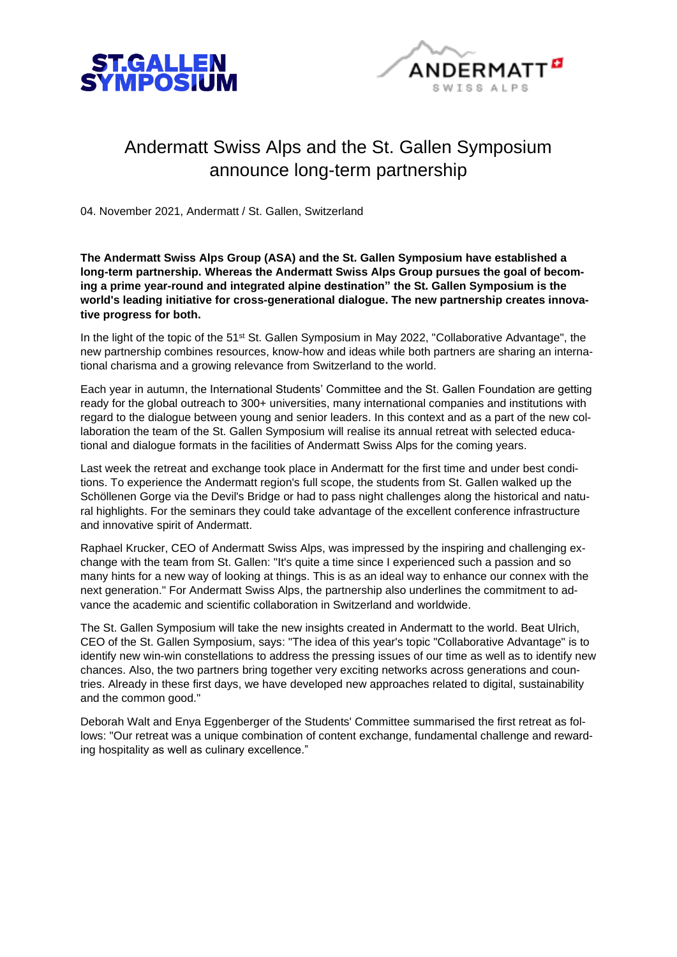



## Andermatt Swiss Alps and the St. Gallen Symposium announce long-term partnership

04. November 2021, Andermatt / St. Gallen, Switzerland

**The Andermatt Swiss Alps Group (ASA) and the St. Gallen Symposium have established a long-term partnership. Whereas the Andermatt Swiss Alps Group pursues the goal of becoming a prime year-round and integrated alpine destination" the St. Gallen Symposium is the world's leading initiative for cross-generational dialogue. The new partnership creates innovative progress for both.**

In the light of the topic of the 51st St. Gallen Symposium in May 2022, "Collaborative Advantage", the new partnership combines resources, know-how and ideas while both partners are sharing an international charisma and a growing relevance from Switzerland to the world.

Each year in autumn, the International Students' Committee and the St. Gallen Foundation are getting ready for the global outreach to 300+ universities, many international companies and institutions with regard to the dialogue between young and senior leaders. In this context and as a part of the new collaboration the team of the St. Gallen Symposium will realise its annual retreat with selected educational and dialogue formats in the facilities of Andermatt Swiss Alps for the coming years.

Last week the retreat and exchange took place in Andermatt for the first time and under best conditions. To experience the Andermatt region's full scope, the students from St. Gallen walked up the Schöllenen Gorge via the Devil's Bridge or had to pass night challenges along the historical and natural highlights. For the seminars they could take advantage of the excellent conference infrastructure and innovative spirit of Andermatt.

Raphael Krucker, CEO of Andermatt Swiss Alps, was impressed by the inspiring and challenging exchange with the team from St. Gallen: "It's quite a time since I experienced such a passion and so many hints for a new way of looking at things. This is as an ideal way to enhance our connex with the next generation." For Andermatt Swiss Alps, the partnership also underlines the commitment to advance the academic and scientific collaboration in Switzerland and worldwide.

The St. Gallen Symposium will take the new insights created in Andermatt to the world. Beat Ulrich, CEO of the St. Gallen Symposium, says: "The idea of this year's topic "Collaborative Advantage" is to identify new win-win constellations to address the pressing issues of our time as well as to identify new chances. Also, the two partners bring together very exciting networks across generations and countries. Already in these first days, we have developed new approaches related to digital, sustainability and the common good."

Deborah Walt and Enya Eggenberger of the Students' Committee summarised the first retreat as follows: "Our retreat was a unique combination of content exchange, fundamental challenge and rewarding hospitality as well as culinary excellence."